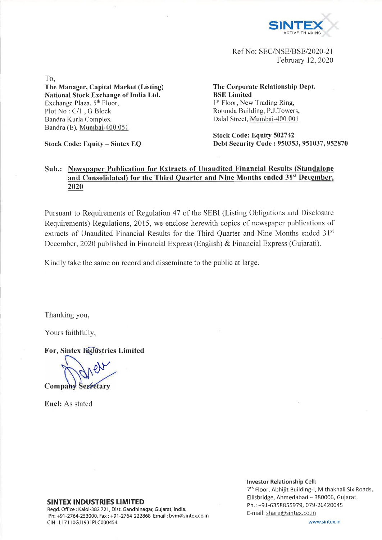

Ref No: SEC/NSE/BSE/2020-21 February 12, 2020

To,

**The Manager, Capital Market (Listing) National Stock Exchange of India Ltd.** Exchange Plaza,  $5<sup>th</sup>$  Floor, Plot No : C/l , G Block Bandra Kurla Complex Bandra (E), Mumbai-400 051

**Stock Code: Equity - Sintex EQ**

**The Corporate Relationship Dept. BSE Limited** 1<sup>st</sup> Floor, New Trading Ring, Rotunda Building, P.J.Towers, Dalai Street, Mumbai-400 001

**Stock Code: Equity 502742 Debt Security Code : 950353, 951037, 952870**

### **Sub.: Newspaper Publication for Extracts of Unaudited Financial Results (Standalone and Consolidated) for the Third Quarter and Nine Months ended 31s1 December, 2020**

Pursuant to Requirements of Regulation 47 of the SEBI (Listing Obligations and Disclosure Requirements) Regulations, 2015, we enclose herewith copies of newspaper publications of extracts of Unaudited Financial Results for the Third Quarter and Nine Months ended 31st December, 2020 published in Financial Express (English) & Financial Express (Gujarati).

Kindly take the same on record and disseminate to the public at large.

Thanking you,

Yours faithfully,

**For, Sintex Kudustries Limited** 

**Company Secretary** 

**Enel:** As stated

#### **SINTEX INDUSTRIES LIMITED**

Regd. Office : Kalol-382 721, Dist. Gandhinagar, Gujarat, India. Ph: +91 -2764-253000, Fax: +91 -2764-222868 Email: [bvm@sintex.co.in](mailto:bvm@sintex.co.in) CIN : L17110GJ1931PLC000454

**Investor Relationship Cell:** 7th Floor, Abhijit Building-1, Mithakhali Six Roads,

Ellisbridge, Ahmedabad - 380006, Gujarat. Ph.: +91-6358855979, 079-26420045 E-mail: [share@sintex.co.in](mailto:share@sintex.co.in)

[www.sintex.in](http://www.sintex.in)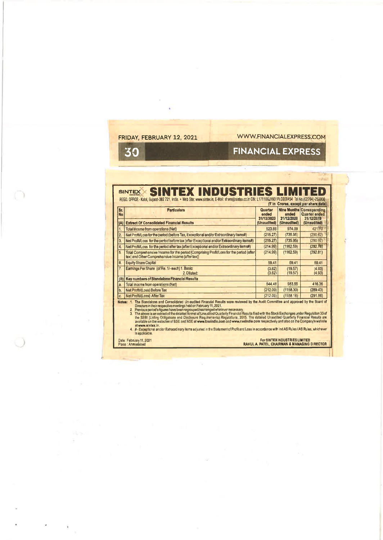| FRIDAY, FEBRUARY 12, 2021 |  |
|---------------------------|--|
|---------------------------|--|

## [WWW.FINANCIALEXPRESS.COM](http://WWW.FINANCIALEXPRESS.COM)

**Africa** 

# 30

 $\sim$ 

 $( )$ 

# **FINANCIAL EXPRESS**

| Sr.<br><b>No</b>                                                                                                                                                                                                                                                                                                                                                                                                                                                                                                                                                                                                                                                                                                                                                                                                                                                                                                          | <b>Particulars</b>                                                                                                                          | Quarter<br>ended<br>31/12/2020 | anded<br>31/12/2020 | <b>Nine Months Corresponding</b><br>Quarter ended<br>31/12/2019 |  |  |  |  |
|---------------------------------------------------------------------------------------------------------------------------------------------------------------------------------------------------------------------------------------------------------------------------------------------------------------------------------------------------------------------------------------------------------------------------------------------------------------------------------------------------------------------------------------------------------------------------------------------------------------------------------------------------------------------------------------------------------------------------------------------------------------------------------------------------------------------------------------------------------------------------------------------------------------------------|---------------------------------------------------------------------------------------------------------------------------------------------|--------------------------------|---------------------|-----------------------------------------------------------------|--|--|--|--|
| $\mathbf{A}$                                                                                                                                                                                                                                                                                                                                                                                                                                                                                                                                                                                                                                                                                                                                                                                                                                                                                                              | <b>Extract Of Consolidated Financial Results</b>                                                                                            | (Unaudited)                    | (Unaudited)         | <b>(Unaudited)</b>                                              |  |  |  |  |
|                                                                                                                                                                                                                                                                                                                                                                                                                                                                                                                                                                                                                                                                                                                                                                                                                                                                                                                           | Total income from operations (Net)                                                                                                          | 523.66                         | 974.09              | 421MOS                                                          |  |  |  |  |
| 2.                                                                                                                                                                                                                                                                                                                                                                                                                                                                                                                                                                                                                                                                                                                                                                                                                                                                                                                        | Net Profit/Loss for the period (before Tax, Exceptional and/or Extraordinary Items#)                                                        | (215.27)                       | (735.95)            | (290.62)                                                        |  |  |  |  |
| $\overline{\mathbf{3}}$                                                                                                                                                                                                                                                                                                                                                                                                                                                                                                                                                                                                                                                                                                                                                                                                                                                                                                   | Net Profit/Loss for the period before tax (after Exceptional and/or Extraordinary items#)                                                   | (215.27)                       | (735.95)            | (290.62)                                                        |  |  |  |  |
| 4.                                                                                                                                                                                                                                                                                                                                                                                                                                                                                                                                                                                                                                                                                                                                                                                                                                                                                                                        | Net Profit/Loss for the period after tax (after Exceptional and/or Extraordinary items#)                                                    | (214.99)                       | (1162.59)           | (292.76)                                                        |  |  |  |  |
| 5                                                                                                                                                                                                                                                                                                                                                                                                                                                                                                                                                                                                                                                                                                                                                                                                                                                                                                                         | Total Comprehensive Income for the period [Comprising Profit/Loss for the period (after<br>tax) and Other Comprehensive Income (after tax)] | (214.99)                       | (1162.59)           | (292.81)                                                        |  |  |  |  |
| ١ß.                                                                                                                                                                                                                                                                                                                                                                                                                                                                                                                                                                                                                                                                                                                                                                                                                                                                                                                       | <b>Equity Share Capital</b>                                                                                                                 | 59.41                          | 59.41               | 59.41                                                           |  |  |  |  |
| 7.                                                                                                                                                                                                                                                                                                                                                                                                                                                                                                                                                                                                                                                                                                                                                                                                                                                                                                                        | Earnings Per Share (of Re. 1/-each) 1. Basic:<br>2. Diluted:                                                                                | (3.62)<br>(3.62)               | (19.57)<br>(19.57)  | (4.93)<br>(4.93)                                                |  |  |  |  |
| (B)                                                                                                                                                                                                                                                                                                                                                                                                                                                                                                                                                                                                                                                                                                                                                                                                                                                                                                                       | Key numbers of Standalone Financial Results                                                                                                 |                                |                     |                                                                 |  |  |  |  |
| a                                                                                                                                                                                                                                                                                                                                                                                                                                                                                                                                                                                                                                                                                                                                                                                                                                                                                                                         | Total income from operations (Net)                                                                                                          | 544.48                         | 983.55              | 416.36                                                          |  |  |  |  |
| $\mathbf b$                                                                                                                                                                                                                                                                                                                                                                                                                                                                                                                                                                                                                                                                                                                                                                                                                                                                                                               | Net Profit/(Loss) Before Tax                                                                                                                | (212.09)                       | (1158.30)           | (289.43)                                                        |  |  |  |  |
| c.                                                                                                                                                                                                                                                                                                                                                                                                                                                                                                                                                                                                                                                                                                                                                                                                                                                                                                                        | Net Profit/(Loss) After Tax                                                                                                                 | (212.09)                       | (1158.16)           | (291.86)                                                        |  |  |  |  |
| Notes: 1. The Standalone and Consolidated Un-audited Financial Results were reviewed by the Audit Committee and approved by the Board of<br>Directors in their respective meetings held on February 11, 2021.<br>2. Previous parlod's figures have been regrouped/rearranged wherever necessary.<br>3. The above is an extract of the detailed format of Unaudited Quarterly Financial Results filed with the Stock Exchanges under Regulation 33 of<br>the SEBI (Listing Obligations and Disclosure Requirements) Regulations, 2015. The datailed Unaudited Quarterly Financial Results are<br>available on the wabsites of BSE and NSE at www.bseindla.com and www.nscindle.com respectively and also on the Company's wabsite<br>at www.sintex.in.<br>4. #-Exceptional and/or Extraordinary items adjusted in the Statement of Profit and Loss in accordance with Ind AS Rules / AS Rules, whichever<br>Is applicable. |                                                                                                                                             |                                |                     |                                                                 |  |  |  |  |

Date: February 11.2021 **For SINTEX INDUSTRIES LIMITED** Place: Ahmsdabad **RAHUL A. PATEL, CHAIRMAN & MANAGING DIRECTOR**